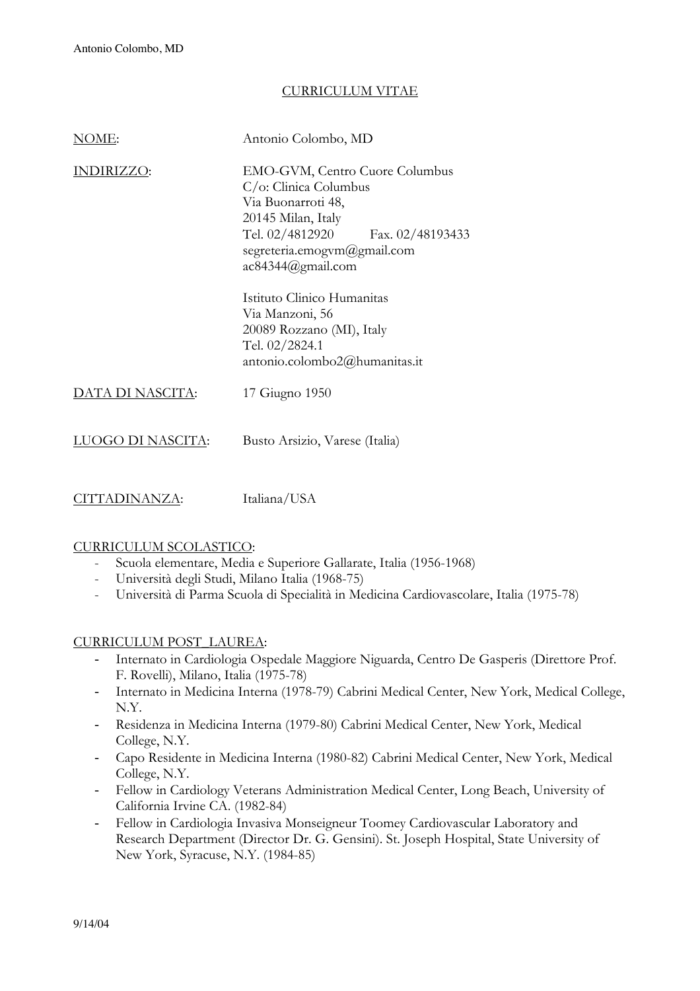## CURRICULUM VITAE

| N()ME:           | Antonio Colombo, MD                                                                                                                                                                               |
|------------------|---------------------------------------------------------------------------------------------------------------------------------------------------------------------------------------------------|
| DIRIZZO:         | EMO-GVM, Centro Cuore Columbus<br>$C$ /o: Clinica Columbus<br>Via Buonarroti 48,<br>20145 Milan, Italy<br>Tel. 02/4812920 Fax. 02/48193433<br>segreteria.emogym@gmail.com<br>$ac84344$ @gmail.com |
|                  | Istituto Clinico Humanitas<br>Via Manzoni, 56<br>20089 Rozzano (MI), Italy<br>Tel. 02/2824.1<br>antonio.colombo2@humanitas.it                                                                     |
| DATA DI NASCITA: | 17 Giugno 1950                                                                                                                                                                                    |
| )GO DI NASCITA:  | Busto Arsizio, Varese (Italia)                                                                                                                                                                    |

CITTADINANZA: Italiana/USA

### CURRICULUM SCOLASTICO:

- Scuola elementare, Media e Superiore Gallarate, Italia (1956-1968)
- Università degli Studi, Milano Italia (1968-75)
- Università di Parma Scuola di Specialità in Medicina Cardiovascolare, Italia (1975-78)

### CURRICULUM POST\_LAUREA:

- Internato in Cardiologia Ospedale Maggiore Niguarda, Centro De Gasperis (Direttore Prof. F. Rovelli), Milano, Italia (1975-78)
- Internato in Medicina Interna (1978-79) Cabrini Medical Center, New York, Medical College, N.Y.
- Residenza in Medicina Interna (1979-80) Cabrini Medical Center, New York, Medical College, N.Y.
- Capo Residente in Medicina Interna (1980-82) Cabrini Medical Center, New York, Medical College, N.Y.
- Fellow in Cardiology Veterans Administration Medical Center, Long Beach, University of California Irvine CA. (1982-84)
- Fellow in Cardiologia Invasiva Monseigneur Toomey Cardiovascular Laboratory and Research Department (Director Dr. G. Gensini). St. Joseph Hospital, State University of New York, Syracuse, N.Y. (1984-85)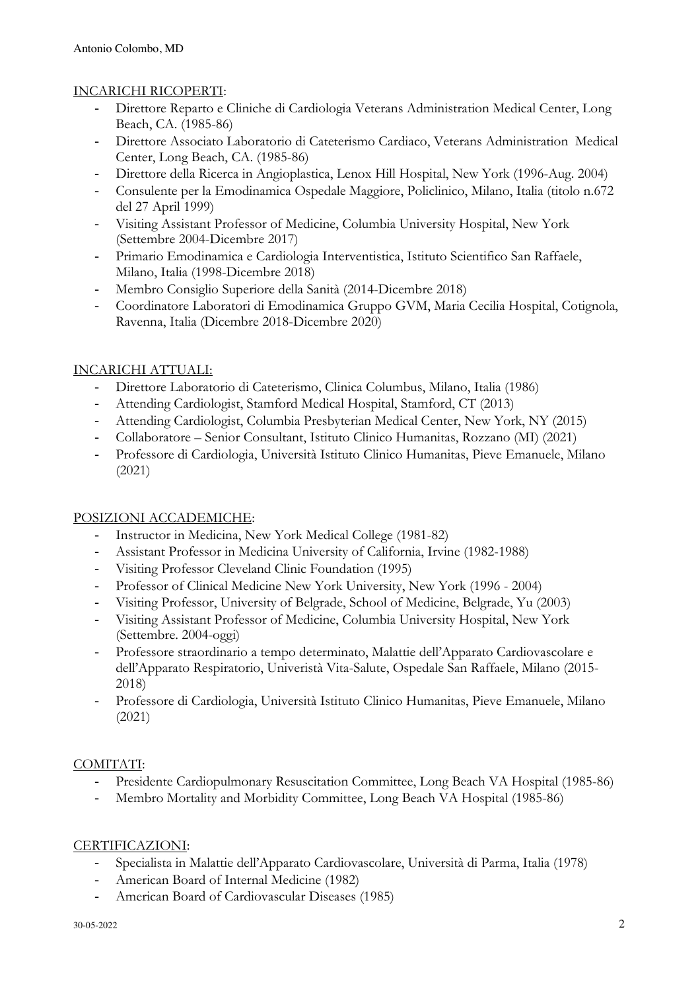## INCARICHI RICOPERTI:

- Direttore Reparto e Cliniche di Cardiologia Veterans Administration Medical Center, Long Beach, CA. (1985-86)
- Direttore Associato Laboratorio di Cateterismo Cardiaco, Veterans Administration Medical Center, Long Beach, CA. (1985-86)
- Direttore della Ricerca in Angioplastica, Lenox Hill Hospital, New York (1996-Aug. 2004)
- Consulente per la Emodinamica Ospedale Maggiore, Policlinico, Milano, Italia (titolo n.672 del 27 April 1999)
- Visiting Assistant Professor of Medicine, Columbia University Hospital, New York (Settembre 2004-Dicembre 2017)
- Primario Emodinamica e Cardiologia Interventistica, Istituto Scientifico San Raffaele, Milano, Italia (1998-Dicembre 2018)
- Membro Consiglio Superiore della Sanità (2014-Dicembre 2018)
- Coordinatore Laboratori di Emodinamica Gruppo GVM, Maria Cecilia Hospital, Cotignola, Ravenna, Italia (Dicembre 2018-Dicembre 2020)

# INCARICHI ATTUALI:

- Direttore Laboratorio di Cateterismo, Clinica Columbus, Milano, Italia (1986)
- Attending Cardiologist, Stamford Medical Hospital, Stamford, CT (2013)
- Attending Cardiologist, Columbia Presbyterian Medical Center, New York, NY (2015)
- Collaboratore Senior Consultant, Istituto Clinico Humanitas, Rozzano (MI) (2021)
- Professore di Cardiologia, Università Istituto Clinico Humanitas, Pieve Emanuele, Milano (2021)

# POSIZIONI ACCADEMICHE:

- Instructor in Medicina, New York Medical College (1981-82)
- Assistant Professor in Medicina University of California, Irvine (1982-1988)
- Visiting Professor Cleveland Clinic Foundation (1995)
- Professor of Clinical Medicine New York University, New York (1996 2004)
- Visiting Professor, University of Belgrade, School of Medicine, Belgrade, Yu (2003)
- Visiting Assistant Professor of Medicine, Columbia University Hospital, New York (Settembre. 2004-oggi)
- Professore straordinario a tempo determinato, Malattie dell'Apparato Cardiovascolare e dell'Apparato Respiratorio, Univeristà Vita-Salute, Ospedale San Raffaele, Milano (2015- 2018)
- Professore di Cardiologia, Università Istituto Clinico Humanitas, Pieve Emanuele, Milano (2021)

# COMITATI:

- Presidente Cardiopulmonary Resuscitation Committee, Long Beach VA Hospital (1985-86)
- Membro Mortality and Morbidity Committee, Long Beach VA Hospital (1985-86)

# CERTIFICAZIONI:

- Specialista in Malattie dell'Apparato Cardiovascolare, Università di Parma, Italia (1978)
- American Board of Internal Medicine (1982)
- American Board of Cardiovascular Diseases (1985)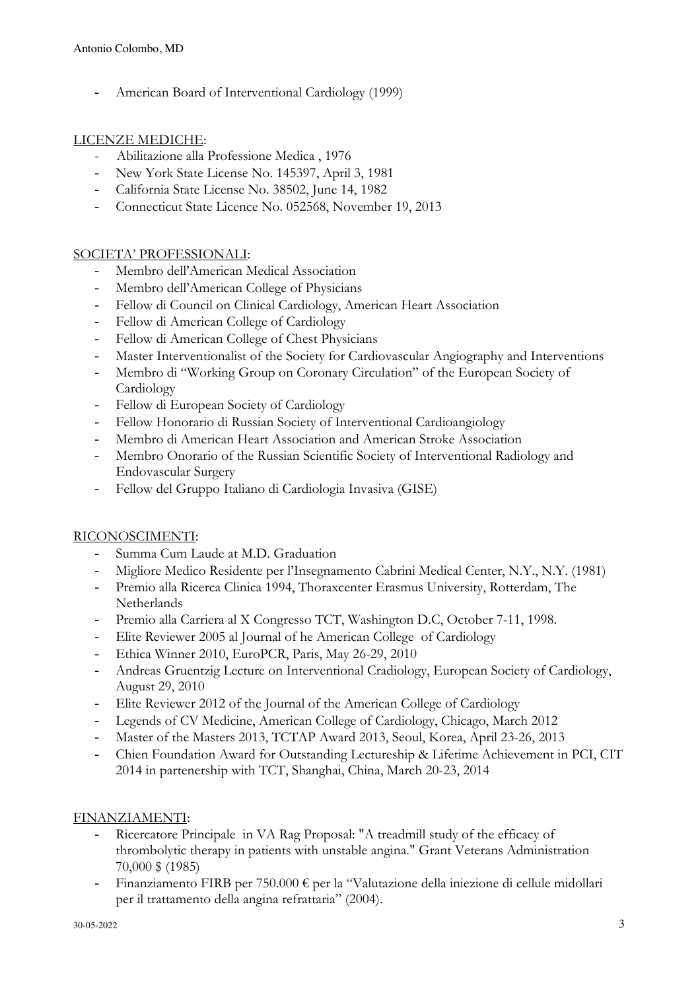American Board of Interventional Cardiology (1999)

## LICENZE MEDICHE:

- Abilitazione alla Professione Medica , 1976
- New York State License No. 145397, April 3, 1981
- California State License No. 38502, June 14, 1982
- Connecticut State Licence No. 052568, November 19, 2013

## SOCIETA' PROFESSIONALI:

- Membro dell'American Medical Association
- Membro dell'American College of Physicians
- Fellow di Council on Clinical Cardiology, American Heart Association
- Fellow di American College of Cardiology
- Fellow di American College of Chest Physicians
- Master Interventionalist of the Society for Cardiovascular Angiography and Interventions
- Membro di "Working Group on Coronary Circulation" of the European Society of Cardiology
- Fellow di European Society of Cardiology
- Fellow Honorario di Russian Society of Interventional Cardioangiology
- Membro di American Heart Association and American Stroke Association
- Membro Onorario of the Russian Scientific Society of Interventional Radiology and Endovascular Surgery
- Fellow del Gruppo Italiano di Cardiologia Invasiva (GISE)

### RICONOSCIMENTI:

- Summa Cum Laude at M.D. Graduation
- Migliore Medico Residente per l'Insegnamento Cabrini Medical Center, N.Y., N.Y. (1981)
- Premio alla Ricerca Clinica 1994, Thoraxcenter Erasmus University, Rotterdam, The Netherlands
- Premio alla Carriera al X Congresso TCT, Washington D.C, October 7-11, 1998.
- Elite Reviewer 2005 al Journal of he American College of Cardiology
- Ethica Winner 2010, EuroPCR, Paris, May 26-29, 2010
- Andreas Gruentzig Lecture on Interventional Cradiology, European Society of Cardiology, August 29, 2010
- Elite Reviewer 2012 of the Journal of the American College of Cardiology
- Legends of CV Medicine, American College of Cardiology, Chicago, March 2012
- Master of the Masters 2013, TCTAP Award 2013, Seoul, Korea, April 23-26, 2013
- Chien Foundation Award for Outstanding Lectureship & Lifetime Achievement in PCI, CIT 2014 in partenership with TCT, Shanghai, China, March 20-23, 2014

# FINANZIAMENTI:

- Ricercatore Principale in VA Rag Proposal: "A treadmill study of the efficacy of thrombolytic therapy in patients with unstable angina." Grant Veterans Administration 70,000 \$ (1985)
- Finanziamento FIRB per 750.000 € per la "Valutazione della iniezione di cellule midollari per il trattamento della angina refrattaria" (2004).